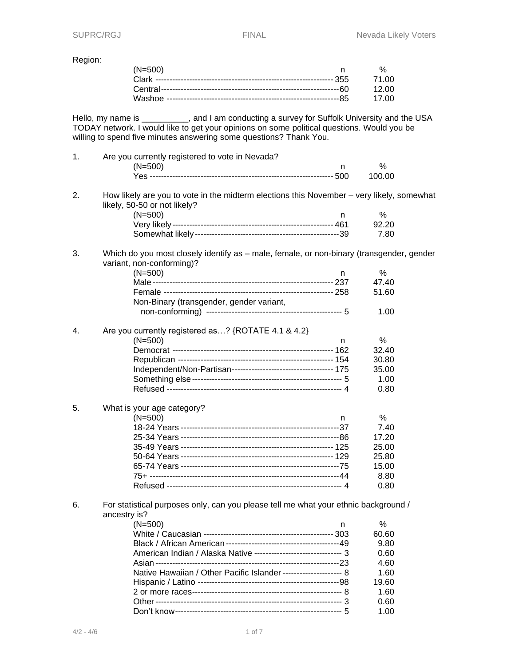Region:

| (N=500) | $\frac{0}{6}$ |
|---------|---------------|
|         |               |
|         | 12 OO         |
|         | 17.00         |

Hello, my name is \_\_\_\_\_\_\_\_\_\_, and I am conducting a survey for Suffolk University and the USA TODAY network. I would like to get your opinions on some political questions. Would you be willing to spend five minutes answering some questions? Thank You.

| 1. | Are you currently registered to vote in Nevada?                                                                           |    |        |  |
|----|---------------------------------------------------------------------------------------------------------------------------|----|--------|--|
|    | $(N=500)$                                                                                                                 | n. | %      |  |
|    |                                                                                                                           |    | 100.00 |  |
| 2. | How likely are you to vote in the midterm elections this November - very likely, somewhat<br>likely, 50-50 or not likely? |    |        |  |
|    | $(N=500)$                                                                                                                 | n  | $\%$   |  |
|    |                                                                                                                           |    | 92.20  |  |
|    |                                                                                                                           |    | 7.80   |  |
| 3. | Which do you most closely identify as - male, female, or non-binary (transgender, gender<br>variant, non-conforming)?     |    |        |  |
|    | $(N=500)$                                                                                                                 | n. | $\%$   |  |
|    |                                                                                                                           |    | 47.40  |  |
|    |                                                                                                                           |    | 51.60  |  |
|    | Non-Binary (transgender, gender variant,                                                                                  |    |        |  |
|    |                                                                                                                           |    | 1.00   |  |
| 4. | Are you currently registered as? {ROTATE 4.1 & 4.2}                                                                       |    |        |  |
|    | $(N=500)$                                                                                                                 | n  | %      |  |
|    |                                                                                                                           |    | 32.40  |  |
|    |                                                                                                                           |    | 30.80  |  |
|    |                                                                                                                           |    | 35.00  |  |
|    |                                                                                                                           |    | 1.00   |  |
|    |                                                                                                                           |    | 0.80   |  |
| 5. | What is your age category?                                                                                                |    |        |  |
|    | $(N=500)$                                                                                                                 | n  | $\%$   |  |
|    |                                                                                                                           |    | 7.40   |  |
|    |                                                                                                                           |    | 17.20  |  |
|    |                                                                                                                           |    | 25.00  |  |
|    |                                                                                                                           |    | 25.80  |  |
|    |                                                                                                                           |    | 15.00  |  |
|    |                                                                                                                           |    | 8.80   |  |
|    |                                                                                                                           |    | 0.80   |  |
| 6. | For statistical purposes only, can you please tell me what your ethnic background /<br>ancestry is?                       |    |        |  |
|    | $(N=500)$                                                                                                                 | n  | $\%$   |  |
|    |                                                                                                                           |    | 60.60  |  |

| $(N=500)$                                                          | $\%$  |
|--------------------------------------------------------------------|-------|
|                                                                    | 60.60 |
|                                                                    | 9.80  |
| American Indian / Alaska Native ------------------------------- 3  | 0.60  |
|                                                                    | 4.60  |
| Native Hawaiian / Other Pacific Islander------------------------ 8 | 1.60  |
|                                                                    | 19.60 |
|                                                                    | 1.60  |
|                                                                    | 0.60  |
|                                                                    | 1.00  |
|                                                                    |       |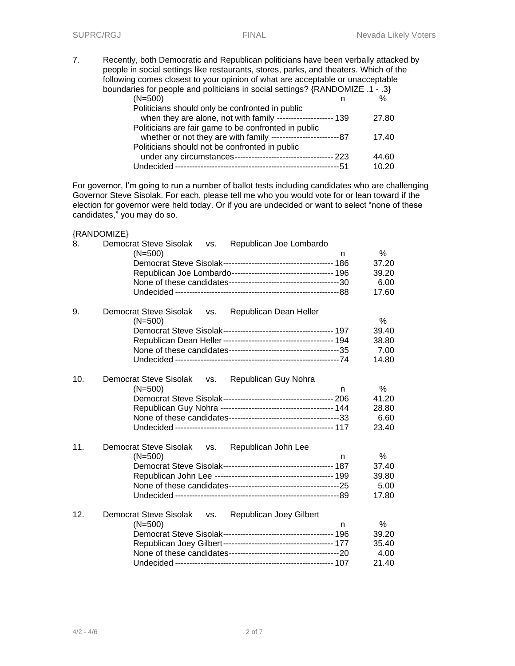7. Recently, both Democratic and Republican politicians have been verbally attacked by people in social settings like restaurants, stores, parks, and theaters. Which of the following comes closest to your opinion of what are acceptable or unacceptable boundaries for people and politicians in social settings? {RANDOMIZE .1 - .3} (N=500) n %

| \\\~\\\                                                        |         |       |
|----------------------------------------------------------------|---------|-------|
| Politicians should only be confronted in public                |         |       |
| when they are alone, not with family -------------------- 139  |         | 27.80 |
| Politicians are fair game to be confronted in public           |         |       |
|                                                                |         | 17.40 |
| Politicians should not be confronted in public                 |         |       |
| under any circumstances----------------------------------- 223 |         | 44.60 |
|                                                                | $---51$ | 10.20 |

For governor, I'm going to run a number of ballot tests including candidates who are challenging Governor Steve Sisolak. For each, please tell me who you would vote for or lean toward if the election for governor were held today. Or if you are undecided or want to select "none of these candidates," you may do so.

#### {RANDOMIZE}

| 8.  | Democrat Steve Sisolak vs. Republican Joe Lombardo              |   |       |
|-----|-----------------------------------------------------------------|---|-------|
|     | $(N=500)$                                                       | n | $\%$  |
|     |                                                                 |   | 37.20 |
|     |                                                                 |   | 39.20 |
|     |                                                                 |   | 6.00  |
|     |                                                                 |   | 17.60 |
| 9.  | Democrat Steve Sisolak<br>Republican Dean Heller<br>VS.         |   |       |
|     | $(N=500)$                                                       |   | $\%$  |
|     |                                                                 |   | 39.40 |
|     |                                                                 |   | 38.80 |
|     |                                                                 |   | 7.00  |
|     |                                                                 |   | 14.80 |
| 10. | Democrat Steve Sisolak vs.<br>Republican Guy Nohra              |   |       |
|     | $(N=500)$                                                       | n | %     |
|     |                                                                 |   | 41.20 |
|     |                                                                 |   | 28.80 |
|     |                                                                 |   | 6.60  |
|     |                                                                 |   | 23.40 |
| 11. | Democrat Steve Sisolak vs.<br>Republican John Lee               |   |       |
|     | $(N=500)$                                                       | n | %     |
|     |                                                                 |   | 37.40 |
|     |                                                                 |   | 39.80 |
|     |                                                                 |   | 5.00  |
|     |                                                                 |   | 17.80 |
| 12. | Democrat Steve Sisolak<br><b>Republican Joey Gilbert</b><br>VS. |   |       |
|     | $(N=500)$                                                       | n | %     |
|     |                                                                 |   | 39.20 |
|     |                                                                 |   | 35.40 |
|     |                                                                 |   | 4.00  |
|     |                                                                 |   | 21.40 |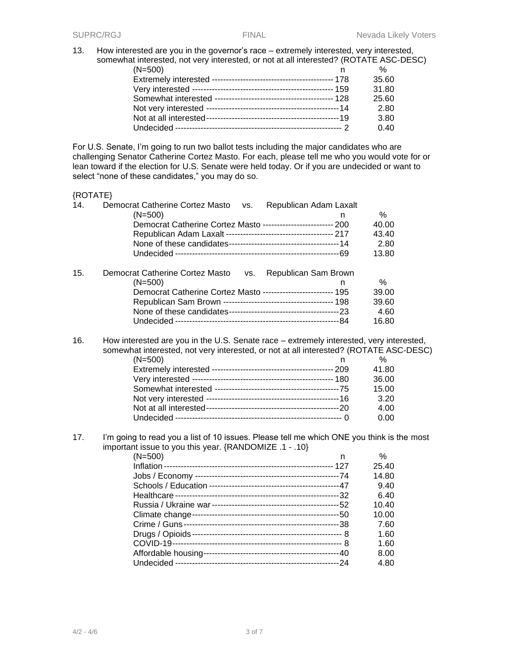13. How interested are you in the governor's race – extremely interested, very interested, somewhat interested, not very interested, or not at all interested? (ROTATE ASC-DESC)

| $\%$  |
|-------|
| 35.60 |
| 31.80 |
| 25.60 |
| 2.80  |
| 3.80  |
| 0.40  |
|       |

For U.S. Senate, I'm going to run two ballot tests including the major candidates who are challenging Senator Catherine Cortez Masto. For each, please tell me who you would vote for or lean toward if the election for U.S. Senate were held today. Or if you are undecided or want to select "none of these candidates," you may do so.

# {ROTATE}

| 14. | Democrat Catherine Cortez Masto<br>Republican Adam Laxalt<br>VS.<br>$(N=500)$<br>n                                                                                               | %     |  |
|-----|----------------------------------------------------------------------------------------------------------------------------------------------------------------------------------|-------|--|
|     | Democrat Catherine Cortez Masto ------------------------- 200                                                                                                                    | 40.00 |  |
|     |                                                                                                                                                                                  | 43.40 |  |
|     |                                                                                                                                                                                  | 2.80  |  |
|     |                                                                                                                                                                                  | 13.80 |  |
| 15. | Democrat Catherine Cortez Masto<br>Republican Sam Brown<br>VS.                                                                                                                   |       |  |
|     | $(N=500)$<br>n                                                                                                                                                                   | ℅     |  |
|     | Democrat Catherine Cortez Masto ------------------------ 195                                                                                                                     | 39.00 |  |
|     |                                                                                                                                                                                  | 39.60 |  |
|     |                                                                                                                                                                                  | 4.60  |  |
|     |                                                                                                                                                                                  | 16.80 |  |
| 16. | How interested are you in the U.S. Senate race – extremely interested, very interested,<br>somewhat interested, not very interested, or not at all interested? (ROTATE ASC-DESC) |       |  |
|     | $(N=500)$<br>n                                                                                                                                                                   | %     |  |
|     |                                                                                                                                                                                  | 41.80 |  |
|     |                                                                                                                                                                                  | 36.00 |  |
|     |                                                                                                                                                                                  | 15.00 |  |
|     |                                                                                                                                                                                  | 3.20  |  |
|     |                                                                                                                                                                                  | 4.00  |  |
|     |                                                                                                                                                                                  | 0.00  |  |
| 17. | I'm going to read you a list of 10 issues. Please tell me which ONE you think is the most<br>important issue to you this year. {RANDOMIZE .1 - .10}                              |       |  |
|     | $(N=500)$<br>n                                                                                                                                                                   | %     |  |
|     |                                                                                                                                                                                  | 25.40 |  |
|     |                                                                                                                                                                                  | 14.80 |  |
|     |                                                                                                                                                                                  | 9.40  |  |
|     |                                                                                                                                                                                  | 6.40  |  |
|     |                                                                                                                                                                                  | 10.40 |  |
|     |                                                                                                                                                                                  | 10.00 |  |
|     |                                                                                                                                                                                  | 7.60  |  |
|     |                                                                                                                                                                                  | 1.60  |  |
|     |                                                                                                                                                                                  | 1.60  |  |
|     |                                                                                                                                                                                  | 8.00  |  |
|     |                                                                                                                                                                                  | 4.80  |  |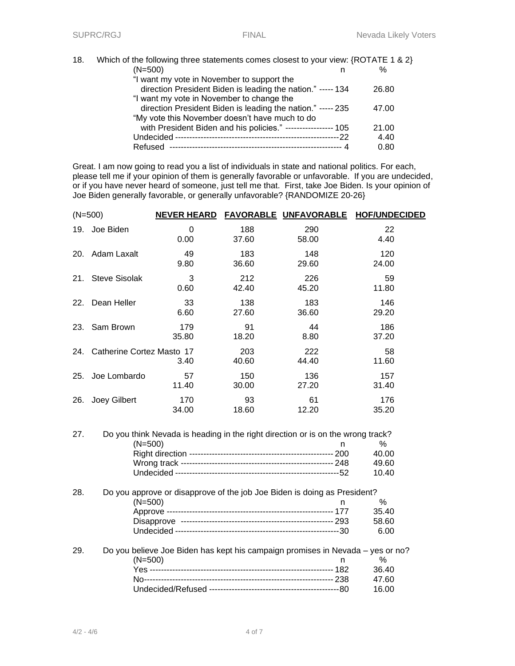| 18. | Which of the following three statements comes closest to your view: {ROTATE 1 & 2} |       |
|-----|------------------------------------------------------------------------------------|-------|
|     | $(N=500)$                                                                          | $\%$  |
|     | "I want my vote in November to support the                                         |       |
|     | direction President Biden is leading the nation." ----- 134                        | 26.80 |
|     | "I want my vote in November to change the                                          |       |
|     | direction President Biden is leading the nation." ----- 235                        | 47.00 |
|     | "My vote this November doesn't have much to do                                     |       |
|     | with President Biden and his policies." ----------------- 105                      | 21.00 |
|     |                                                                                    | 4.40  |
|     | Refused --                                                                         | 0.80  |

Great. I am now going to read you a list of individuals in state and national politics. For each, please tell me if your opinion of them is generally favorable or unfavorable. If you are undecided, or if you have never heard of someone, just tell me that. First, take Joe Biden. Is your opinion of Joe Biden generally favorable, or generally unfavorable? {RANDOMIZE 20-26}

|     | $(N=500)$                 | <b>NEVER HEARD</b> |              | FAVORABLE UNFAVORABLE | <b>HOF/UNDECIDED</b> |
|-----|---------------------------|--------------------|--------------|-----------------------|----------------------|
| 19. | Joe Biden                 | $\Omega$<br>0.00   | 188<br>37.60 | 290<br>58.00          | 22<br>4.40           |
| 20. | Adam Laxalt               | 49<br>9.80         | 183<br>36.60 | 148<br>29.60          | 120<br>24.00         |
| 21. | <b>Steve Sisolak</b>      | 3<br>0.60          | 212<br>42.40 | 226<br>45.20          | 59<br>11.80          |
| 22. | Dean Heller               | 33<br>6.60         | 138<br>27.60 | 183<br>36.60          | 146<br>29.20         |
| 23. | Sam Brown                 | 179<br>35.80       | 91<br>18.20  | 44<br>8.80            | 186<br>37.20         |
| 24. | Catherine Cortez Masto 17 | 3.40               | 203<br>40.60 | 222<br>44.40          | 58<br>11.60          |
| 25. | Joe Lombardo              | 57<br>11.40        | 150<br>30.00 | 136<br>27.20          | 157<br>31.40         |
| 26. | Joey Gilbert              | 170<br>34.00       | 93<br>18.60  | 61<br>12.20           | 176<br>35.20         |
|     |                           |                    |              |                       |                      |

| 27. | Do you think Nevada is heading in the right direction or is on the wrong track? |       |
|-----|---------------------------------------------------------------------------------|-------|
|     | (N=500)<br>n                                                                    | $\%$  |
|     | -- 200                                                                          | 40.00 |
|     |                                                                                 | 49.60 |
|     | Undecided -                                                                     | 10.40 |
| 28. | Do you approve or disapprove of the job Joe Biden is doing as President?        |       |
|     | (N=500)<br>n                                                                    | ℅     |
|     | Approve -                                                                       | 35.40 |
|     |                                                                                 | 58.60 |
|     |                                                                                 | 6.00  |
| 29. | Do you believe Joe Biden has kept his campaign promises in Nevada – yes or no?  |       |

| Do you believe Joe Biden has kept his campaign promises in Nevada – yes or ho |        |
|-------------------------------------------------------------------------------|--------|
| $(N=500)$                                                                     | %      |
|                                                                               | .36.40 |
|                                                                               | 47 60  |
|                                                                               | 16. NO |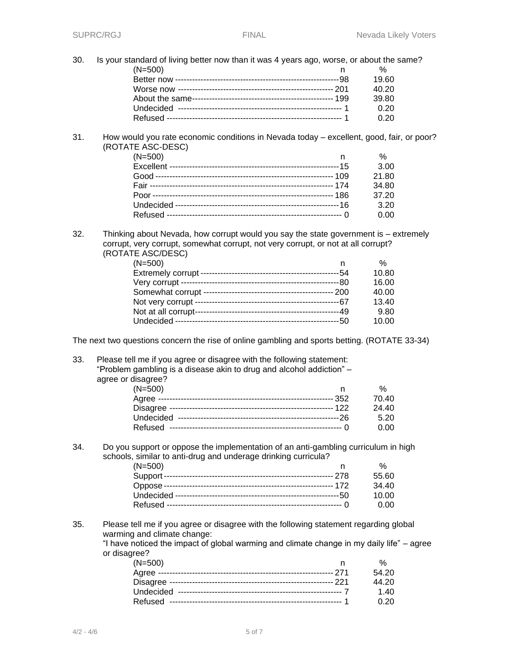30. Is your standard of living better now than it was 4 years ago, worse, or about the same? (N=500) n % Better now ----------------------------------------------------------98 19.60 Worse now ------------------------------------------------------- 201 40.20

| . | . |
|---|---|
|   |   |
|   |   |
|   |   |
|   |   |
|   |   |
|   |   |

31. How would you rate economic conditions in Nevada today – excellent, good, fair, or poor? (ROTATE ASC-DESC)

| $(N=500)$ | ℅     |
|-----------|-------|
|           | 3.00  |
|           | 21.80 |
|           | 34.80 |
|           | 37.20 |
|           | 3.20  |
|           | 0.00  |
|           |       |

32. Thinking about Nevada, how corrupt would you say the state government is – extremely corrupt, very corrupt, somewhat corrupt, not very corrupt, or not at all corrupt? (ROTATE ASC/DESC)

| $(N=500)$ |       | $\%$  |
|-----------|-------|-------|
|           |       | 10.80 |
|           |       | 16.00 |
|           | -200  | 40.00 |
|           |       | 13.40 |
|           |       | 9.80  |
|           | ---5∩ | 10.00 |
|           |       |       |

The next two questions concern the rise of online gambling and sports betting. (ROTATE 33-34)

33. Please tell me if you agree or disagree with the following statement: "Problem gambling is a disease akin to drug and alcohol addiction" – agree or disagree?

| $(N=500)$ | %     |
|-----------|-------|
|           | 70.40 |
|           | 24.40 |
|           | 5.20  |
|           | n nn  |

# 34. Do you support or oppose the implementation of an anti-gambling curriculum in high schools, similar to anti-drug and underage drinking curricula?

| $(N=500)$ |       |
|-----------|-------|
|           | 55.60 |
|           | 34.40 |
|           | 10.00 |
|           | 0.00  |
|           |       |

35. Please tell me if you agree or disagree with the following statement regarding global warming and climate change:

"I have noticed the impact of global warming and climate change in my daily life" – agree or disagree?

| $(N=500)$ |             |
|-----------|-------------|
|           | 54.20       |
|           | 44.20       |
|           | 1.40        |
|           | <u>በ 20</u> |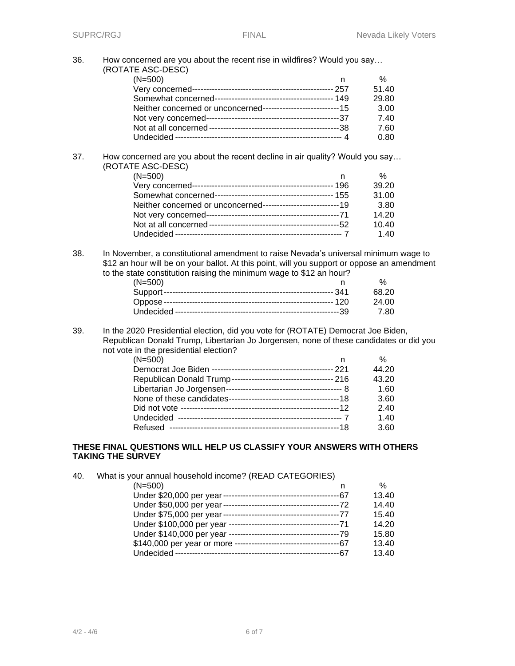36. How concerned are you about the recent rise in wildfires? Would you say… (ROTATE ASC-DESC)

| $1 - 1100 - 1100$ |       |
|-------------------|-------|
| $(N=500)$         | %     |
|                   | 51.40 |
|                   | 29.80 |
|                   | 3.00  |
|                   | 7.40  |
|                   | 7.60  |
|                   | 0.80  |
|                   |       |

#### 37. How concerned are you about the recent decline in air quality? Would you say… (ROTATE ASC-DESC)

| %     |
|-------|
| 39.20 |
| 31.00 |
| 3.80  |
| 14.20 |
| 10.40 |
| 1.40  |
|       |

38. In November, a constitutional amendment to raise Nevada's universal minimum wage to \$12 an hour will be on your ballot. At this point, will you support or oppose an amendment to the state constitution raising the minimum wage to \$12 an hour?

| $(N=500)$ |        |
|-----------|--------|
|           | 68.20  |
|           | 24.00  |
|           | - 7 80 |

39. In the 2020 Presidential election, did you vote for (ROTATE) Democrat Joe Biden, Republican Donald Trump, Libertarian Jo Jorgensen, none of these candidates or did you not vote in the presidential election?

| $(N=500)$ | %     |
|-----------|-------|
|           | 44.20 |
|           | 43.20 |
|           | 1.60  |
|           | 3.60  |
|           | 2.40  |
|           | 1.40  |
|           | 3.60  |

# **THESE FINAL QUESTIONS WILL HELP US CLASSIFY YOUR ANSWERS WITH OTHERS TAKING THE SURVEY**

| 40. | What is your annual household income? (READ CATEGORIES)                 |       |
|-----|-------------------------------------------------------------------------|-------|
|     | $(N=500)$<br>n                                                          | $\%$  |
|     |                                                                         | 13.40 |
|     |                                                                         | 14.40 |
|     |                                                                         | 15.40 |
|     |                                                                         | 14.20 |
|     |                                                                         | 15.80 |
|     | \$140,000 per year or more -----------------------------------<br>---67 | 13.40 |
|     | -67                                                                     | 13.40 |